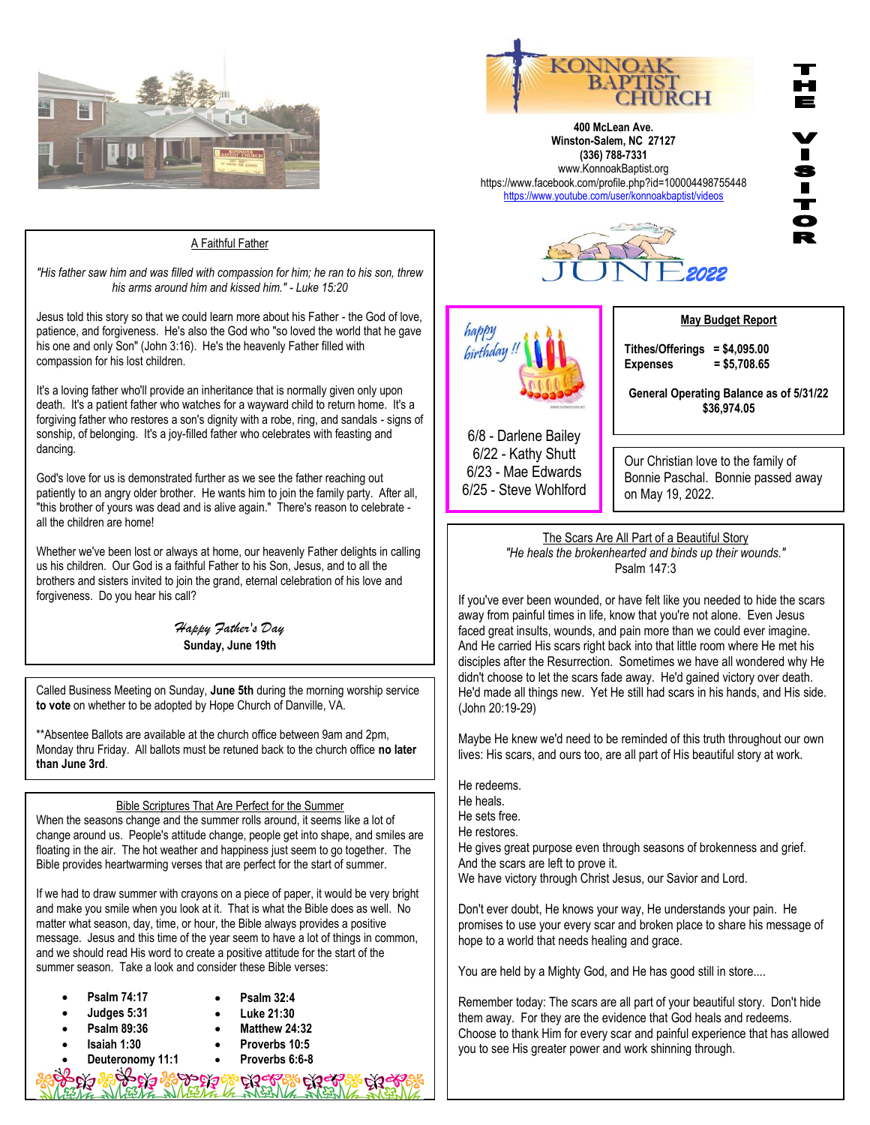



**400 McLean Ave. Winston-Salem, NC 27127 (336) 788-7331** www.KonnoakBaptist.org https://www.facebook.com/profile.php?id=100004498755448 <https://www.youtube.com/user/konnoakbaptist/videos>



## A Faithful Father

*"His father saw him and was filled with compassion for him; he ran to his son, threw his arms around him and kissed him." - Luke 15:20*

Jesus told this story so that we could learn more about his Father - the God of love, patience, and forgiveness. He's also the God who "so loved the world that he gave his one and only Son" (John 3:16). He's the heavenly Father filled with compassion for his lost children.

It's a loving father who'll provide an inheritance that is normally given only upon death. It's a patient father who watches for a wayward child to return home. It's a forgiving father who restores a son's dignity with a robe, ring, and sandals - signs of sonship, of belonging. It's a joy-filled father who celebrates with feasting and dancing.

God's love for us is demonstrated further as we see the father reaching out patiently to an angry older brother. He wants him to join the family party. After all, "this brother of yours was dead and is alive again." There's reason to celebrate all the children are home!

Whether we've been lost or always at home, our heavenly Father delights in calling us his children. Our God is a faithful Father to his Son, Jesus, and to all the brothers and sisters invited to join the grand, eternal celebration of his love and forgiveness. Do you hear his call?

> *Happy Father's Day* **Sunday, June 19th**

Called Business Meeting on Sunday, **June 5th** during the morning worship service **to vote** on whether to be adopted by Hope Church of Danville, VA.

\*\*Absentee Ballots are available at the church office between 9am and 2pm, Monday thru Friday. All ballots must be retuned back to the church office **no later than June 3rd**.

## Bible Scriptures That Are Perfect for the Summer

When the seasons change and the summer rolls around, it seems like a lot of change around us. People's attitude change, people get into shape, and smiles are floating in the air. The hot weather and happiness just seem to go together. The Bible provides heartwarming verses that are perfect for the start of summer.

If we had to draw summer with crayons on a piece of paper, it would be very bright and make you smile when you look at it. That is what the Bible does as well. No matter what season, day, time, or hour, the Bible always provides a positive message. Jesus and this time of the year seem to have a lot of things in common, and we should read His word to create a positive attitude for the start of the summer season. Take a look and consider these Bible verses:

| $\bullet$ | Psalm 74:17        |           | <b>Psalm 32:4</b> |
|-----------|--------------------|-----------|-------------------|
| $\bullet$ | Judges 5:31        |           | Luke 21:30        |
| $\bullet$ | <b>Psalm 89:36</b> |           | Matthew 24:32     |
| $\bullet$ | Isaiah 1:30        | $\bullet$ | Proverbs 10:5     |
| $\bullet$ | Deuteronomy 11:1   | $\bullet$ | Proverbs 6:6-8    |
| - 0       |                    |           |                   |

**PART OF THE TABLE OF THE TABLE** 

happy birthday **May Budget Report**

**Tithes/Offerings = \$4,095.00 Expenses = \$5,708.65**

**General Operating Balance as of 5/31/22 \$36,974.05**

6/8 - Darlene Bailey 6/22 - Kathy Shutt 6/23 - Mae Edwards 6/25 - Steve Wohlford

## Our Christian love to the family of Bonnie Paschal. Bonnie passed away on May 19, 2022.

The Scars Are All Part of a Beautiful Story *"He heals the brokenhearted and binds up their wounds."* Psalm 147:3

If you've ever been wounded, or have felt like you needed to hide the scars away from painful times in life, know that you're not alone. Even Jesus faced great insults, wounds, and pain more than we could ever imagine. And He carried His scars right back into that little room where He met his disciples after the Resurrection. Sometimes we have all wondered why He didn't choose to let the scars fade away. He'd gained victory over death. He'd made all things new. Yet He still had scars in his hands, and His side. (John 20:19-29)

Maybe He knew we'd need to be reminded of this truth throughout our own lives: His scars, and ours too, are all part of His beautiful story at work.

He redeems.

- He heals.
- He sets free.
- He restores.

He gives great purpose even through seasons of brokenness and grief. And the scars are left to prove it.

We have victory through Christ Jesus, our Savior and Lord.

Don't ever doubt, He knows your way, He understands your pain. He promises to use your every scar and broken place to share his message of hope to a world that needs healing and grace.

You are held by a Mighty God, and He has good still in store....

Remember today: The scars are all part of your beautiful story. Don't hide them away. For they are the evidence that God heals and redeems. Choose to thank Him for every scar and painful experience that has allowed you to see His greater power and work shinning through.